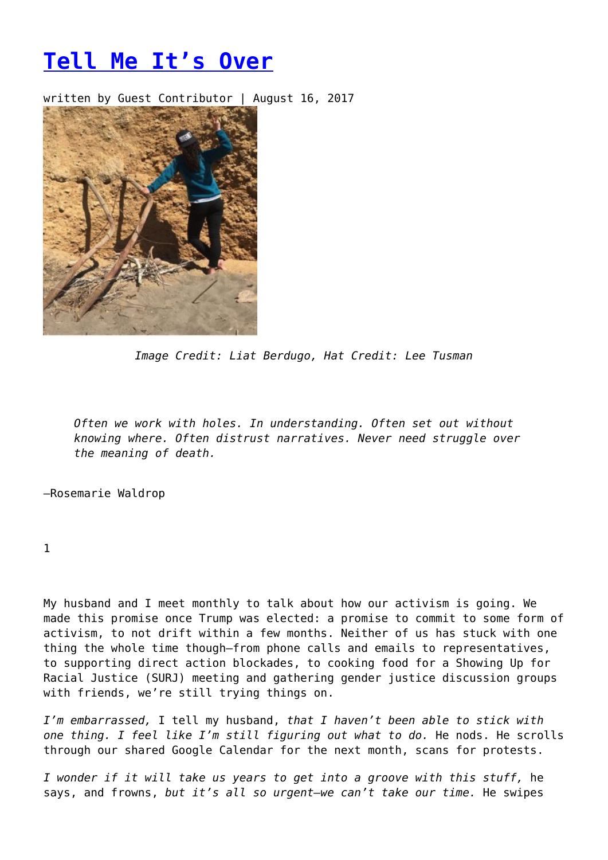## **[Tell Me It's Over](https://entropymag.org/tell-me-its-over/)**

written by Guest Contributor | August 16, 2017



*Image Credit: Liat Berdugo, Hat Credit: Lee Tusman*

*Often we work with holes. In understanding. Often set out without knowing where. Often distrust narratives. Never need struggle over the meaning of death.*

–Rosemarie Waldrop

1

My husband and I meet monthly to talk about how our activism is going. We made this promise once Trump was elected: a promise to commit to some form of activism, to not drift within a few months. Neither of us has stuck with one thing the whole time though—from phone calls and emails to representatives, to supporting direct action blockades, to cooking food for a Showing Up for Racial Justice (SURJ) meeting and gathering gender justice discussion groups with friends, we're still trying things on.

*I'm embarrassed,* I tell my husband, *that I haven't been able to stick with one thing. I feel like I'm still figuring out what to do.* He nods. He scrolls through our shared Google Calendar for the next month, scans for protests.

*I wonder if it will take us years to get into a groove with this stuff,* he says, and frowns, *but it's all so urgent—we can't take our time.* He swipes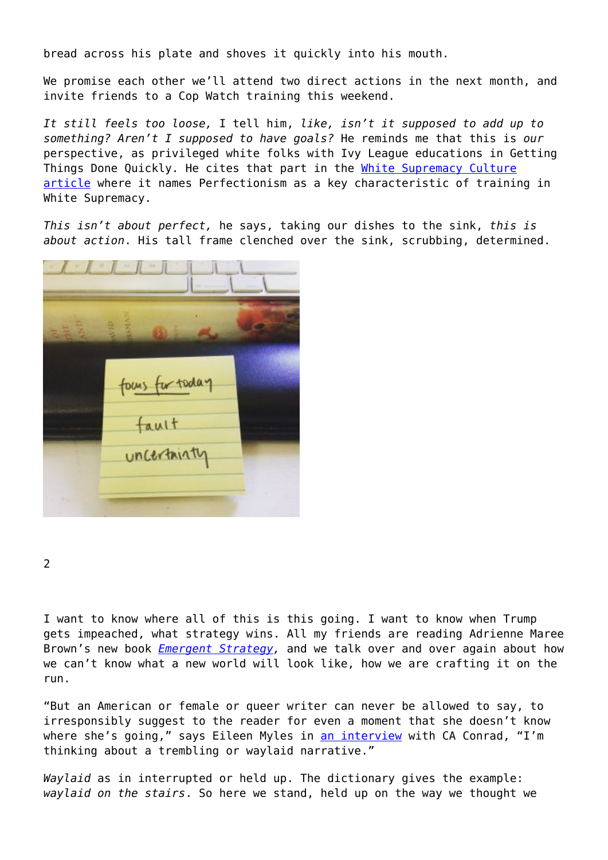bread across his plate and shoves it quickly into his mouth.

We promise each other we'll attend two direct actions in the next month, and invite friends to a Cop Watch training this weekend.

*It still feels too loose,* I tell him, *like, isn't it supposed to add up to something? Aren't I supposed to have goals?* He reminds me that this is *our* perspective, as privileged white folks with Ivy League educations in Getting Things Done Quickly. He cites that part in the [White Supremacy Culture](http://www.cwsworkshop.org/PARC_site_B/dr-culture.html) [article](http://www.cwsworkshop.org/PARC_site_B/dr-culture.html) where it names Perfectionism as a key characteristic of training in White Supremacy.

*This isn't about perfect,* he says, taking our dishes to the sink, *this is about action*. His tall frame clenched over the sink, scrubbing, determined.



2

I want to know where all of this is this going. I want to know when Trump gets impeached, what strategy wins. All my friends are reading Adrienne Maree Brown's new book *[Emergent Strategy,](https://www.akpress.org/emergentstrategy.html)* and we talk over and over again about how we can't know what a new world will look like, how we are crafting it on the run.

"But an American or female or queer writer can never be allowed to say, to irresponsibly suggest to the reader for even a moment that she doesn't know where she's going," says Eileen Myles in [an interview](http://bombmagazine.org/article/6331/)) with CA Conrad, "I'm thinking about a trembling or waylaid narrative."

*Waylaid* as in interrupted or held up. The dictionary gives the example: *waylaid on the stairs*. So here we stand, held up on the way we thought we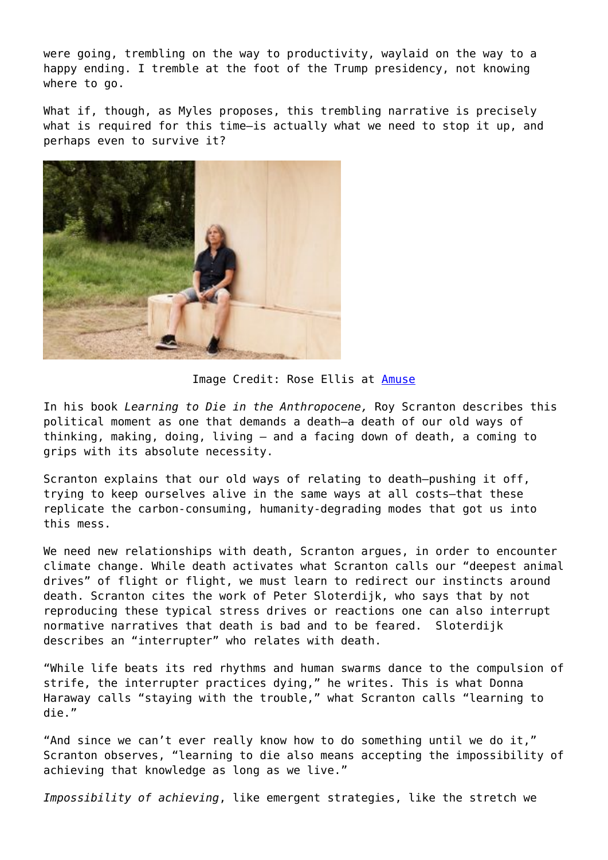were going, trembling on the way to productivity, waylaid on the way to a happv ending. I tremble at the foot of the Trump presidency, not knowing where to go.

What if, though, as Myles proposes, this trembling narrative is precisely what is required for this time—is actually what we need to stop it up, and perhaps even to survive it?



Image Credit: Rose Ellis at [Amuse](https://amuse-i-d.vice.com/the-places-that-shaped-radical-icon-eileen-myles/)

In his book *Learning to Die in the Anthropocene,* Roy Scranton describes this political moment as one that demands a death—a death of our old ways of thinking, making, doing, living – and a facing down of death, a coming to grips with its absolute necessity.

Scranton explains that our old ways of relating to death—pushing it off, trying to keep ourselves alive in the same ways at all costs—that these replicate the carbon-consuming, humanity-degrading modes that got us into this mess.

We need new relationships with death, Scranton argues, in order to encounter climate change. While death activates what Scranton calls our "deepest animal drives" of flight or flight, we must learn to redirect our instincts around death. Scranton cites the work of Peter Sloterdijk, who says that by not reproducing these typical stress drives or reactions one can also interrupt normative narratives that death is bad and to be feared. Sloterdijk describes an "interrupter" who relates with death.

"While life beats its red rhythms and human swarms dance to the compulsion of strife, the interrupter practices dying," he writes. This is what Donna Haraway calls "staying with the trouble," what Scranton calls "learning to die."

"And since we can't ever really know how to do something until we do it," Scranton observes, "learning to die also means accepting the impossibility of achieving that knowledge as long as we live."

*Impossibility of achieving*, like emergent strategies, like the stretch we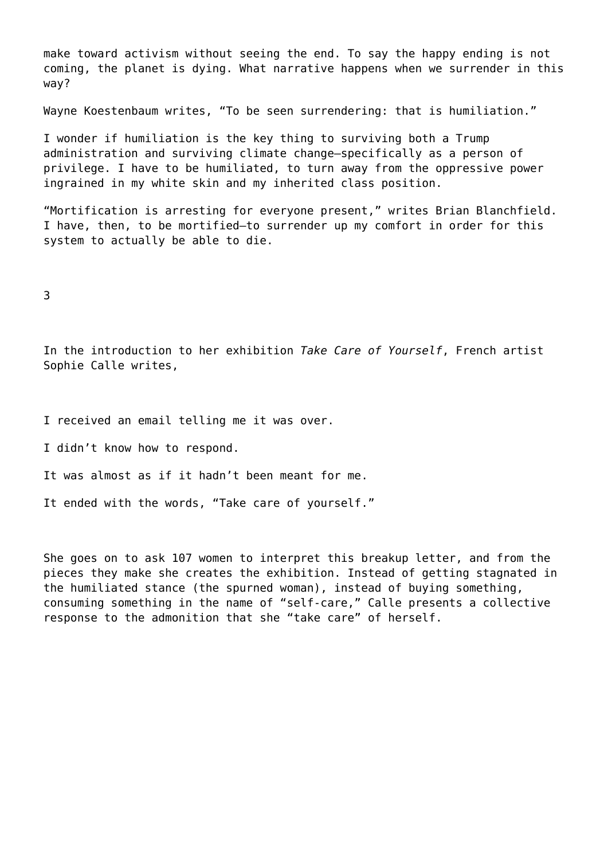make toward activism without seeing the end. To say the happy ending is not coming, the planet is dying. What narrative happens when we surrender in this way?

Wayne Koestenbaum writes, "To be seen surrendering: that is humiliation."

I wonder if humiliation is the key thing to surviving both a Trump administration and surviving climate change—specifically as a person of privilege. I have to be humiliated, to turn away from the oppressive power ingrained in my white skin and my inherited class position.

"Mortification is arresting for everyone present," writes Brian Blanchfield. I have, then, to be mortified—to surrender up my comfort in order for this system to actually be able to die.

3

In the introduction to her exhibition *Take Care of Yourself*, French artist Sophie Calle writes,

I received an email telling me it was over.

I didn't know how to respond.

It was almost as if it hadn't been meant for me.

It ended with the words, "Take care of yourself."

She goes on to ask 107 women to interpret this breakup letter, and from the pieces they make she creates the exhibition. Instead of getting stagnated in the humiliated stance (the spurned woman), instead of buying something, consuming something in the name of "self-care," Calle presents a collective response to the admonition that she "take care" of herself.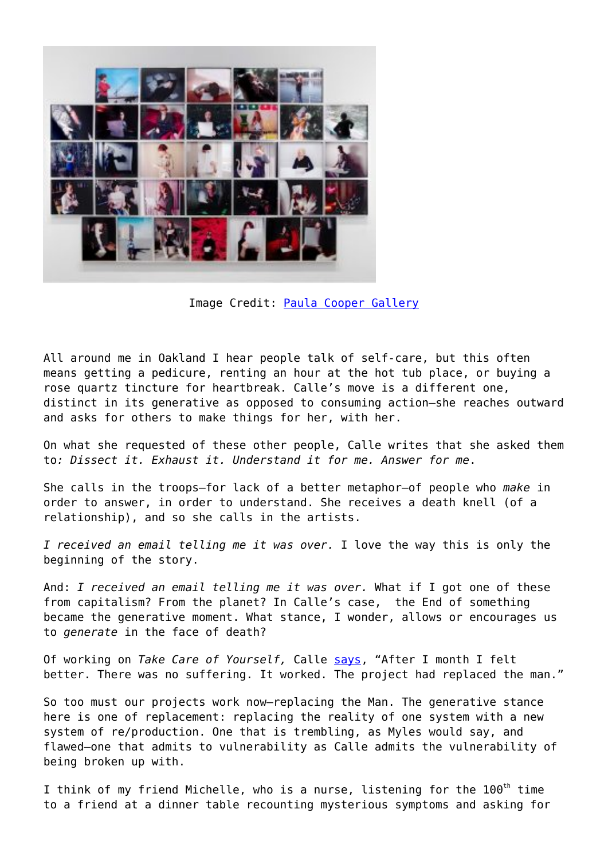

Image Credit: [Paula Cooper Gallery](https://www.paulacoopergallery.com/exhibitions/sophie-calle-take-care-of-yourself/installation-views)

All around me in Oakland I hear people talk of self-care, but this often means getting a pedicure, renting an hour at the hot tub place, or buying a rose quartz tincture for heartbreak. Calle's move is a different one, distinct in its generative as opposed to consuming action—she reaches outward and asks for others to make things for her, with her.

On what she requested of these other people, Calle writes that she asked them to*: Dissect it. Exhaust it. Understand it for me. Answer for me*.

She calls in the troops—for lack of a better metaphor—of people who *make* in order to answer, in order to understand. She receives a death knell (of a relationship), and so she calls in the artists.

*I received an email telling me it was over.* I love the way this is only the beginning of the story.

And: *I received an email telling me it was over.* What if I got one of these from capitalism? From the planet? In Calle's case, the End of something became the generative moment. What stance, I wonder, allows or encourages us to *generate* in the face of death?

Of working on *Take Care of Yourself,* Calle [says,](https://www.theguardian.com/world/2007/jun/16/artnews.art) "After I month I felt better. There was no suffering. It worked. The project had replaced the man."

So too must our projects work now—replacing the Man. The generative stance here is one of replacement: replacing the reality of one system with a new system of re/production. One that is trembling, as Myles would say, and flawed—one that admits to vulnerability as Calle admits the vulnerability of being broken up with.

I think of my friend Michelle, who is a nurse, listening for the 100<sup>th</sup> time to a friend at a dinner table recounting mysterious symptoms and asking for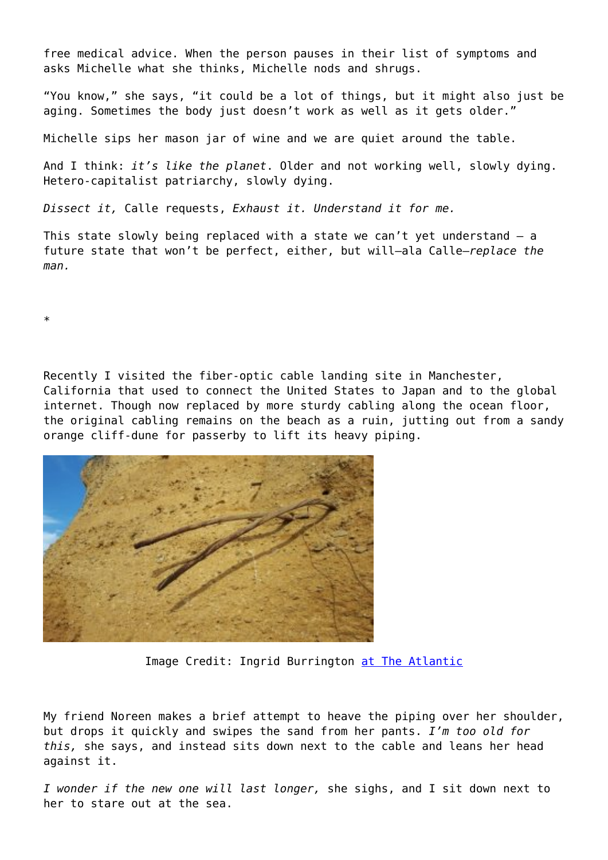free medical advice. When the person pauses in their list of symptoms and asks Michelle what she thinks, Michelle nods and shrugs.

"You know," she says, "it could be a lot of things, but it might also just be aging. Sometimes the body just doesn't work as well as it gets older."

Michelle sips her mason jar of wine and we are quiet around the table.

And I think: *it's like the planet*. Older and not working well, slowly dying. Hetero-capitalist patriarchy, slowly dying.

*Dissect it,* Calle requests, *Exhaust it. Understand it for me.*

This state slowly being replaced with a state we can't yet understand – a future state that won't be perfect, either, but will—ala Calle—*replace the man.*

\*

Recently I visited the fiber-optic cable landing site in Manchester, California that used to connect the United States to Japan and to the global internet. Though now replaced by more sturdy cabling along the ocean floor, the original cabling remains on the beach as a ruin, jutting out from a sandy orange cliff-dune for passerby to lift its heavy piping.



Image Credit: Ingrid Burrington [at The Atlantic](https://www.theatlantic.com/technology/archive/2015/11/where-the-cloud-rises-from-the-sea/415236/)

My friend Noreen makes a brief attempt to heave the piping over her shoulder, but drops it quickly and swipes the sand from her pants. *I'm too old for this,* she says, and instead sits down next to the cable and leans her head against it.

*I wonder if the new one will last longer,* she sighs, and I sit down next to her to stare out at the sea.